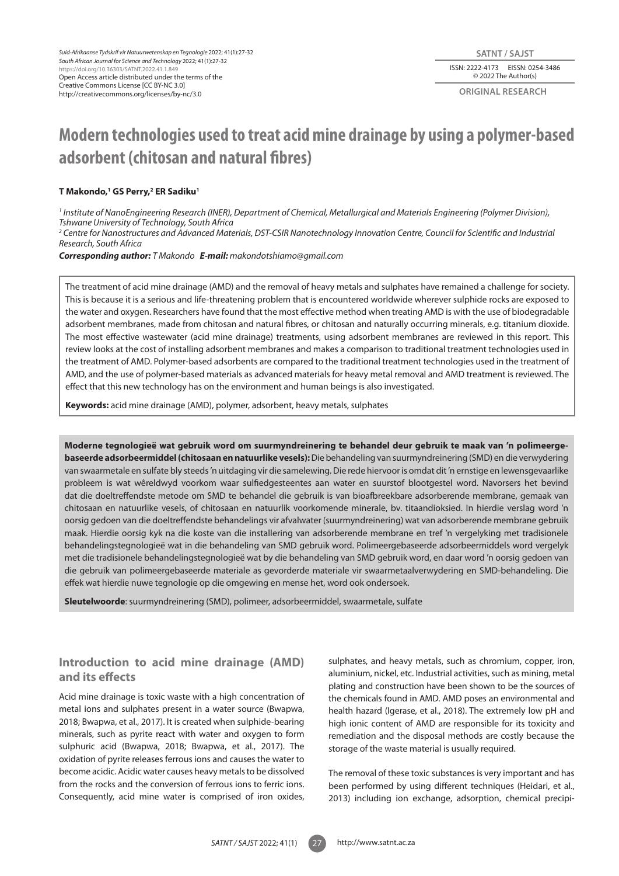**original research**

# **Modern technologies used to treat acid mine drainage by using a polymer-based adsorbent (chitosan and natural fibres)**

### **T Makondo,1 GS Perry,2 ER Sadiku1**

<sup>1</sup> Institute of NanoEngineering Research (INER), Department of Chemical, Metallurgical and Materials Engineering (Polymer Division), *Tshwane University of Technology, South Africa*

*2 Centre for Nanostructures and Advanced Materials, DST-CSIR Nanotechnology Innovation Centre, Council for Scientific and Industrial Research, South Africa*

*Corresponding author: T Makondo E-mail: makondotshiamo@gmail.com*

The treatment of acid mine drainage (AMD) and the removal of heavy metals and sulphates have remained a challenge for society. This is because it is a serious and life-threatening problem that is encountered worldwide wherever sulphide rocks are exposed to the water and oxygen. Researchers have found that the most effective method when treating AMD is with the use of biodegradable adsorbent membranes, made from chitosan and natural fibres, or chitosan and naturally occurring minerals, e.g. titanium dioxide. The most effective wastewater (acid mine drainage) treatments, using adsorbent membranes are reviewed in this report. This review looks at the cost of installing adsorbent membranes and makes a comparison to traditional treatment technologies used in the treatment of AMD. Polymer-based adsorbents are compared to the traditional treatment technologies used in the treatment of AMD, and the use of polymer-based materials as advanced materials for heavy metal removal and AMD treatment is reviewed. The effect that this new technology has on the environment and human beings is also investigated.

**Keywords:** acid mine drainage (AMD), polymer, adsorbent, heavy metals, sulphates

**Moderne tegnologieë wat gebruik word om suurmyndreinering te behandel deur gebruik te maak van 'n polimeergebaseerde adsorbeermiddel (chitosaan en natuurlike vesels):** Die behandeling van suurmyndreinering (SMD) en die verwydering van swaarmetale en sulfate bly steeds 'n uitdaging vir die samelewing. Die rede hiervoor is omdat dit 'n ernstige en lewensgevaarlike probleem is wat wêreldwyd voorkom waar sulfiedgesteentes aan water en suurstof blootgestel word. Navorsers het bevind dat die doeltreffendste metode om SMD te behandel die gebruik is van bioafbreekbare adsorberende membrane, gemaak van chitosaan en natuurlike vesels, of chitosaan en natuurlik voorkomende minerale, bv. titaandioksied. In hierdie verslag word 'n oorsig gedoen van die doeltreffendste behandelings vir afvalwater (suurmyndreinering) wat van adsorberende membrane gebruik maak. Hierdie oorsig kyk na die koste van die installering van adsorberende membrane en tref 'n vergelyking met tradisionele behandelingstegnologieë wat in die behandeling van SMD gebruik word. Polimeergebaseerde adsorbeermiddels word vergelyk met die tradisionele behandelingstegnologieë wat by die behandeling van SMD gebruik word, en daar word 'n oorsig gedoen van die gebruik van polimeergebaseerde materiale as gevorderde materiale vir swaarmetaalverwydering en SMD-behandeling. Die effek wat hierdie nuwe tegnologie op die omgewing en mense het, word ook ondersoek.

**Sleutelwoorde**: suurmyndreinering (SMD), polimeer, adsorbeermiddel, swaarmetale, sulfate

# **Introduction to acid mine drainage (AMD) and its effects**

Acid mine drainage is toxic waste with a high concentration of metal ions and sulphates present in a water source (Bwapwa, 2018; Bwapwa, et al., 2017). It is created when sulphide-bearing minerals, such as pyrite react with water and oxygen to form sulphuric acid (Bwapwa, 2018; Bwapwa, et al., 2017). The oxidation of pyrite releases ferrous ions and causes the water to become acidic. Acidic water causes heavy metals to be dissolved from the rocks and the conversion of ferrous ions to ferric ions. Consequently, acid mine water is comprised of iron oxides, sulphates, and heavy metals, such as chromium, copper, iron, aluminium, nickel, etc. Industrial activities, such as mining, metal plating and construction have been shown to be the sources of the chemicals found in AMD. AMD poses an environmental and health hazard (Igerase, et al., 2018). The extremely low pH and high ionic content of AMD are responsible for its toxicity and remediation and the disposal methods are costly because the storage of the waste material is usually required.

The removal of these toxic substances is very important and has been performed by using different techniques (Heidari, et al., 2013) including ion exchange, adsorption, chemical precipi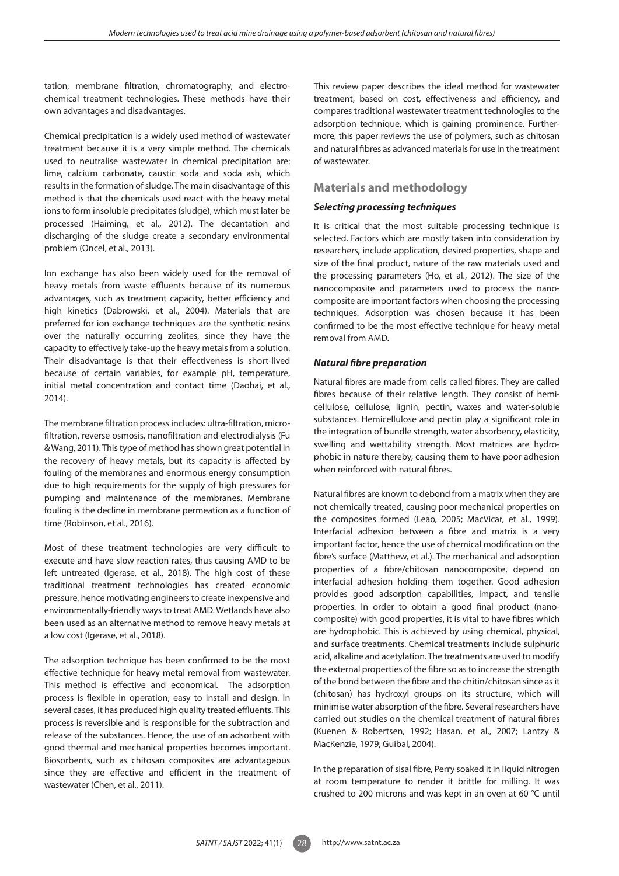tation, membrane filtration, chromatography, and electrochemical treatment technologies. These methods have their own advantages and disadvantages.

Chemical precipitation is a widely used method of wastewater treatment because it is a very simple method. The chemicals used to neutralise wastewater in chemical precipitation are: lime, calcium carbonate, caustic soda and soda ash, which results in the formation of sludge. The main disadvantage of this method is that the chemicals used react with the heavy metal ions to form insoluble precipitates (sludge), which must later be processed (Haiming, et al., 2012). The decantation and discharging of the sludge create a secondary environmental problem (Oncel, et al., 2013).

Ion exchange has also been widely used for the removal of heavy metals from waste effluents because of its numerous advantages, such as treatment capacity, better efficiency and high kinetics (Dabrowski, et al., 2004). Materials that are preferred for ion exchange techniques are the synthetic resins over the naturally occurring zeolites, since they have the capacity to effectively take-up the heavy metals from a solution. Their disadvantage is that their effectiveness is short-lived because of certain variables, for example pH, temperature, initial metal concentration and contact time (Daohai, et al., 2014).

The membrane filtration process includes: ultra-filtration, microfiltration, reverse osmosis, nanofiltration and electrodialysis (Fu & Wang, 2011). This type of method has shown great potential in the recovery of heavy metals, but its capacity is affected by fouling of the membranes and enormous energy consumption due to high requirements for the supply of high pressures for pumping and maintenance of the membranes. Membrane fouling is the decline in membrane permeation as a function of time (Robinson, et al., 2016).

Most of these treatment technologies are very difficult to execute and have slow reaction rates, thus causing AMD to be left untreated (Igerase, et al., 2018). The high cost of these traditional treatment technologies has created economic pressure, hence motivating engineers to create inexpensive and environmentally-friendly ways to treat AMD. Wetlands have also been used as an alternative method to remove heavy metals at a low cost (Igerase, et al., 2018).

The adsorption technique has been confirmed to be the most effective technique for heavy metal removal from wastewater. This method is effective and economical. The adsorption process is flexible in operation, easy to install and design. In several cases, it has produced high quality treated effluents. This process is reversible and is responsible for the subtraction and release of the substances. Hence, the use of an adsorbent with good thermal and mechanical properties becomes important. Biosorbents, such as chitosan composites are advantageous since they are effective and efficient in the treatment of wastewater (Chen, et al., 2011).

This review paper describes the ideal method for wastewater treatment, based on cost, effectiveness and efficiency, and compares traditional wastewater treatment technologies to the adsorption technique, which is gaining prominence. Furthermore, this paper reviews the use of polymers, such as chitosan and natural fibres as advanced materials for use in the treatment of wastewater.

# **Materials and methodology**

## *Selecting processing techniques*

It is critical that the most suitable processing technique is selected. Factors which are mostly taken into consideration by researchers, include application, desired properties, shape and size of the final product, nature of the raw materials used and the processing parameters (Ho, et al., 2012). The size of the nanocomposite and parameters used to process the nanocomposite are important factors when choosing the processing techniques. Adsorption was chosen because it has been confirmed to be the most effective technique for heavy metal removal from AMD.

## *Natural fibre preparation*

Natural fibres are made from cells called fibres. They are called fibres because of their relative length. They consist of hemicellulose, cellulose, lignin, pectin, waxes and water-soluble substances. Hemicellulose and pectin play a significant role in the integration of bundle strength, water absorbency, elasticity, swelling and wettability strength. Most matrices are hydrophobic in nature thereby, causing them to have poor adhesion when reinforced with natural fibres.

Natural fibres are known to debond from a matrix when they are not chemically treated, causing poor mechanical properties on the composites formed (Leao, 2005; MacVicar, et al., 1999). Interfacial adhesion between a fibre and matrix is a very important factor, hence the use of chemical modification on the fibre's surface (Matthew, et al.). The mechanical and adsorption properties of a fibre/chitosan nanocomposite, depend on interfacial adhesion holding them together. Good adhesion provides good adsorption capabilities, impact, and tensile properties. In order to obtain a good final product (nanocomposite) with good properties, it is vital to have fibres which are hydrophobic. This is achieved by using chemical, physical, and surface treatments. Chemical treatments include sulphuric acid, alkaline and acetylation. The treatments are used to modify the external properties of the fibre so as to increase the strength of the bond between the fibre and the chitin/chitosan since as it (chitosan) has hydroxyl groups on its structure, which will minimise water absorption of the fibre. Several researchers have carried out studies on the chemical treatment of natural fibres (Kuenen & Robertsen, 1992; Hasan, et al., 2007; Lantzy & MacKenzie, 1979; Guibal, 2004).

In the preparation of sisal fibre, Perry soaked it in liquid nitrogen at room temperature to render it brittle for milling. It was crushed to 200 microns and was kept in an oven at 60 °C until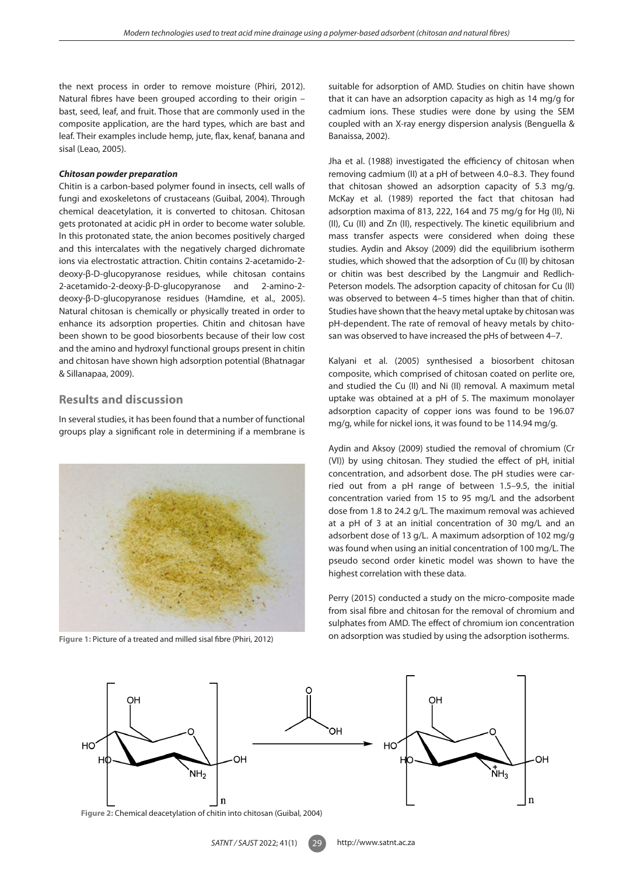the next process in order to remove moisture (Phiri, 2012). Natural fibres have been grouped according to their origin – bast, seed, leaf, and fruit. Those that are commonly used in the composite application, are the hard types, which are bast and leaf. Their examples include hemp, jute, flax, kenaf, banana and sisal (Leao, 2005).

#### *Chitosan powder preparation*

Chitin is a carbon-based polymer found in insects, cell walls of fungi and exoskeletons of crustaceans (Guibal, 2004). Through chemical deacetylation, it is converted to chitosan. Chitosan gets protonated at acidic pH in order to become water soluble. In this protonated state, the anion becomes positively charged and this intercalates with the negatively charged dichromate ions via electrostatic attraction. Chitin contains 2-acetamido-2 deoxy-β-D-glucopyranose residues, while chitosan contains 2-acetamido-2-deoxy-β-D-glucopyranose and 2-amino-2 deoxy-β-D-glucopyranose residues (Hamdine, et al., 2005). Natural chitosan is chemically or physically treated in order to enhance its adsorption properties. Chitin and chitosan have been shown to be good biosorbents because of their low cost and the amino and hydroxyl functional groups present in chitin and chitosan have shown high adsorption potential (Bhatnagar & Sillanapaa, 2009).

## **Results and discussion**

In several studies, it has been found that a number of functional groups play a significant role in determining if a membrane is



suitable for adsorption of AMD. Studies on chitin have shown that it can have an adsorption capacity as high as 14 mg/g for cadmium ions. These studies were done by using the SEM coupled with an X-ray energy dispersion analysis (Benguella & Banaissa, 2002).

Jha et al. (1988) investigated the efficiency of chitosan when removing cadmium (II) at a pH of between 4.0–8.3. They found that chitosan showed an adsorption capacity of 5.3 mg/g. McKay et al. (1989) reported the fact that chitosan had adsorption maxima of 813, 222, 164 and 75 mg/g for Hg (II), Ni (II), Cu (II) and Zn (II), respectively. The kinetic equilibrium and mass transfer aspects were considered when doing these studies. Aydin and Aksoy (2009) did the equilibrium isotherm studies, which showed that the adsorption of Cu (II) by chitosan or chitin was best described by the Langmuir and Redlich-Peterson models. The adsorption capacity of chitosan for Cu (II) was observed to between 4–5 times higher than that of chitin. Studies have shown that the heavy metal uptake by chitosan was pH-dependent. The rate of removal of heavy metals by chitosan was observed to have increased the pHs of between 4–7.

Kalyani et al. (2005) synthesised a biosorbent chitosan composite, which comprised of chitosan coated on perlite ore, and studied the Cu (II) and Ni (II) removal. A maximum metal uptake was obtained at a pH of 5. The maximum monolayer adsorption capacity of copper ions was found to be 196.07 mg/g, while for nickel ions, it was found to be 114.94 mg/g.

Aydin and Aksoy (2009) studied the removal of chromium (Cr (VI)) by using chitosan. They studied the effect of pH, initial concentration, and adsorbent dose. The pH studies were carried out from a pH range of between 1.5–9.5, the initial concentration varied from 15 to 95 mg/L and the adsorbent dose from 1.8 to 24.2 g/L. The maximum removal was achieved at a pH of 3 at an initial concentration of 30 mg/L and an adsorbent dose of 13 g/L. A maximum adsorption of 102 mg/g was found when using an initial concentration of 100 mg/L. The pseudo second order kinetic model was shown to have the highest correlation with these data.

Perry (2015) conducted a study on the micro-composite made from sisal fibre and chitosan for the removal of chromium and sulphates from AMD. The effect of chromium ion concentration on adsorption was studied by using the adsorption isotherms. **Figure 1:** Picture of a treated and milled sisal fibre (Phiri, 2012)

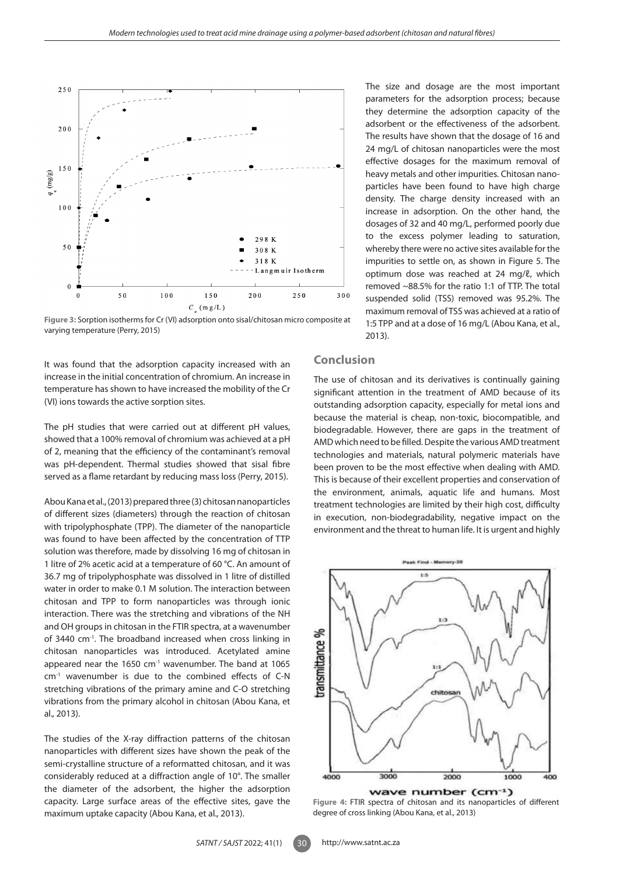

**Figure 3:** Sorption isotherms for Cr (VI) adsorption onto sisal/chitosan micro composite at varying temperature (Perry, 2015)

It was found that the adsorption capacity increased with an increase in the initial concentration of chromium. An increase in temperature has shown to have increased the mobility of the Cr (VI) ions towards the active sorption sites.

The pH studies that were carried out at different pH values, showed that a 100% removal of chromium was achieved at a pH of 2, meaning that the efficiency of the contaminant's removal was pH-dependent. Thermal studies showed that sisal fibre served as a flame retardant by reducing mass loss (Perry, 2015).

Abou Kana et al., (2013) prepared three (3) chitosan nanoparticles of different sizes (diameters) through the reaction of chitosan with tripolyphosphate (TPP). The diameter of the nanoparticle was found to have been affected by the concentration of TTP solution was therefore, made by dissolving 16 mg of chitosan in 1 litre of 2% acetic acid at a temperature of 60 °C. An amount of 36.7 mg of tripolyphosphate was dissolved in 1 litre of distilled water in order to make 0.1 M solution. The interaction between chitosan and TPP to form nanoparticles was through ionic interaction. There was the stretching and vibrations of the NH and OH groups in chitosan in the FTIR spectra, at a wavenumber of 3440 cm-1. The broadband increased when cross linking in chitosan nanoparticles was introduced. Acetylated amine appeared near the 1650 cm<sup>-1</sup> wavenumber. The band at 1065 cm-1 wavenumber is due to the combined effects of C-N stretching vibrations of the primary amine and C-O stretching vibrations from the primary alcohol in chitosan (Abou Kana, et al.*,* 2013).

The studies of the X-ray diffraction patterns of the chitosan nanoparticles with different sizes have shown the peak of the semi-crystalline structure of a reformatted chitosan, and it was considerably reduced at a diffraction angle of 10°. The smaller the diameter of the adsorbent, the higher the adsorption capacity. Large surface areas of the effective sites, gave the maximum uptake capacity (Abou Kana, et al.*,* 2013).

## **Conclusion**

2013).

The use of chitosan and its derivatives is continually gaining significant attention in the treatment of AMD because of its outstanding adsorption capacity, especially for metal ions and because the material is cheap, non-toxic, biocompatible, and biodegradable. However, there are gaps in the treatment of AMD which need to be filled. Despite the various AMD treatment technologies and materials, natural polymeric materials have been proven to be the most effective when dealing with AMD. This is because of their excellent properties and conservation of the environment, animals, aquatic life and humans. Most treatment technologies are limited by their high cost, difficulty in execution, non-biodegradability, negative impact on the environment and the threat to human life. It is urgent and highly

The size and dosage are the most important parameters for the adsorption process; because they determine the adsorption capacity of the adsorbent or the effectiveness of the adsorbent. The results have shown that the dosage of 16 and 24 mg/L of chitosan nanoparticles were the most effective dosages for the maximum removal of heavy metals and other impurities. Chitosan nanoparticles have been found to have high charge density. The charge density increased with an increase in adsorption. On the other hand, the dosages of 32 and 40 mg/L, performed poorly due to the excess polymer leading to saturation, whereby there were no active sites available for the impurities to settle on, as shown in Figure 5. The optimum dose was reached at 24 mg/ℓ, which removed ~88.5% for the ratio 1:1 of TTP. The total suspended solid (TSS) removed was 95.2%. The maximum removal of TSS was achieved at a ratio of 1:5 TPP and at a dose of 16 mg/L (Abou Kana, et al.,



**Figure 4:** FTIR spectra of chitosan and its nanoparticles of different degree of cross linking (Abou Kana, et al., 2013)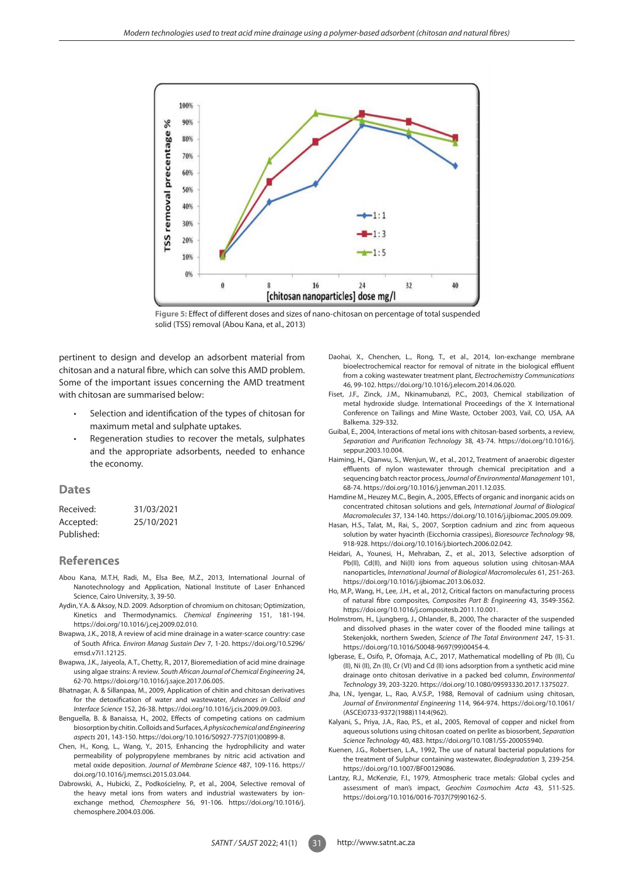

**Figure 5:** Effect of different doses and sizes of nano-chitosan on percentage of total suspended solid (TSS) removal (Abou Kana, et al., 2013)

pertinent to design and develop an adsorbent material from chitosan and a natural fibre, which can solve this AMD problem. Some of the important issues concerning the AMD treatment with chitosan are summarised below:

- Selection and identification of the types of chitosan for maximum metal and sulphate uptakes.
- Regeneration studies to recover the metals, sulphates and the appropriate adsorbents, needed to enhance the economy.

#### **Dates**

| Received:  | 31/03/2021 |
|------------|------------|
| Accepted:  | 25/10/2021 |
| Published: |            |

#### **References**

- Abou Kana, M.T.H, Radi, M., Elsa Bee, M.Z., 2013, International Journal of Nanotechnology and Application, National Institute of Laser Enhanced Science, Cairo University, 3, 39-50.
- Aydin, Y.A. & Aksoy, N.D. 2009. Adsorption of chromium on chitosan; Optimization, Kinetics and Thermodynamics. *Chemical Engineering* 151, 181-194. https://doi.org/10.1016/j.cej.2009.02.010.
- Bwapwa, J.K., 2018, A review of acid mine drainage in a water-scarce country: case of South Africa. *Environ Manag Sustain Dev* 7, 1-20. https://doi.org/10.5296/ emsd.v7i1.12125.
- Bwapwa, J.K., Jaiyeola, A.T., Chetty, R., 2017, Bioremediation of acid mine drainage using algae strains: A review. *South African Journal of Chemical Engineering* 24, 62-70. https://doi.org/10.1016/j.sajce.2017.06.005.
- Bhatnagar, A. & Sillanpaa, M., 2009, Application of chitin and chitosan derivatives for the detoxification of water and wastewater, *Advances in Colloid and Interface Science* 152, 26-38. https://doi.org/10.1016/j.cis.2009.09.003.
- Benguella, B. & Banaissa, H., 2002, Effects of competing cations on cadmium biosorption by chitin. Colloids and Surfaces, *A physicochemical and Engineering aspects* 201, 143-150. https://doi.org/10.1016/S0927-7757(01)00899-8.
- Chen, H., Kong, L., Wang, Y., 2015, Enhancing the hydrophilicity and water permeability of polypropylene membranes by nitric acid activation and metal oxide deposition. *Journal of Membrane Science* 487, 109-116. https:// doi.org/10.1016/j.memsci.2015.03.044.
- Dabrowski, A., Hubicki, Z., Podkościelny, P., et al., 2004, Selective removal of the heavy metal ions from waters and industrial wastewaters by ionexchange method, *Chemosphere* 56, 91-106. https://doi.org/10.1016/j. chemosphere.2004.03.006.
- Daohai, X., Chenchen, L., Rong, T., et al., 2014, Ion-exchange membrane bioelectrochemical reactor for removal of nitrate in the biological effluent from a coking wastewater treatment plant, *Electrochemistry Communications* 46, 99-102. https://doi.org/10.1016/j.elecom.2014.06.020.
- Fiset, J.F., Zinck, J.M., Nkinamubanzi, P.C., 2003, Chemical stabilization of metal hydroxide sludge. International Proceedings of the X International Conference on Tailings and Mine Waste, October 2003, Vail, CO, USA, AA Balkema. 329-332.
- Guibal, E., 2004, Interactions of metal ions with chitosan-based sorbents, a review, *Separation and Purification Technology* 38, 43-74. https://doi.org/10.1016/j. seppur.2003.10.004.
- Haiming, H., Qianwu, S., Wenjun, W., et al., 2012, Treatment of anaerobic digester effluents of nylon wastewater through chemical precipitation and a sequencing batch reactor process, *Journal of Environmental Management* 101, 68-74. https://doi.org/10.1016/j.jenvman.2011.12.035.
- Hamdine M., Heuzey M.C., Begin, A., 2005, Effects of organic and inorganic acids on concentrated chitosan solutions and gels, *International Journal of Biological Macromolecules* 37, 134-140. https://doi.org/10.1016/j.ijbiomac.2005.09.009.
- Hasan, H.S., Talat, M., Rai, S., 2007, Sorption cadnium and zinc from aqueous solution by water hyacinth (Eicchornia crassipes), *Bioresource Technology* 98, 918-928. https://doi.org/10.1016/j.biortech.2006.02.042.
- Heidari, A., Younesi, H., Mehraban, Z., et al., 2013, Selective adsorption of Pb(II), Cd(II), and Ni(II) ions from aqueous solution using chitosan-MAA nanoparticles, *International Journal of Biological Macromolecules* 61, 251-263. https://doi.org/10.1016/j.ijbiomac.2013.06.032.
- Ho, M.P., Wang, H., Lee, J.H., et al., 2012, Critical factors on manufacturing process of natural fibre composites, *Composites Part B: Engineering* 43, 3549-3562. https://doi.org/10.1016/j.compositesb.2011.10.001.
- Holmstrom, H., Ljungberg, J., Ohlander, B., 2000, The character of the suspended and dissolved phases in the water cover of the flooded mine tailings at Stekenjokk, northern Sweden, *Science of The Total Environment* 247, 15-31. https://doi.org/10.1016/S0048-9697(99)00454-4.
- Igberase, E., Osifo, P., Ofomaja, A.C., 2017, Mathematical modelling of Pb (II), Cu (II), Ni (II), Zn (II), Cr (VI) and Cd (II) ions adsorption from a synthetic acid mine drainage onto chitosan derivative in a packed bed column, *Environmental Technology* 39, 203-3220. https://doi.org/10.1080/09593330.2017.1375027.
- Jha, I.N., Iyengar, L., Rao, A.V.S.P., 1988, Removal of cadnium using chitosan, *Journal of Environmental Engineering* 114, 964-974. https://doi.org/10.1061/ (ASCE)0733-9372(1988)114:4(962).
- Kalyani, S., Priya, J.A., Rao, P.S., et al., 2005, Removal of copper and nickel from aqueous solutions using chitosan coated on perlite as biosorbent, *Separation Science Technology* 40, 483. https://doi.org/10.1081/SS-200055940.
- Kuenen, J.G., Robertsen, L.A., 1992, The use of natural bacterial populations for the treatment of Sulphur containing wastewater, *Biodegradation* 3, 239-254. https://doi.org/10.1007/BF00129086.
- Lantzy, R.J., McKenzie, F.I., 1979, Atmospheric trace metals: Global cycles and assessment of man's impact, *Geochim Cosmochim Acta* 43, 511-525. https://doi.org/10.1016/0016-7037(79)90162-5.